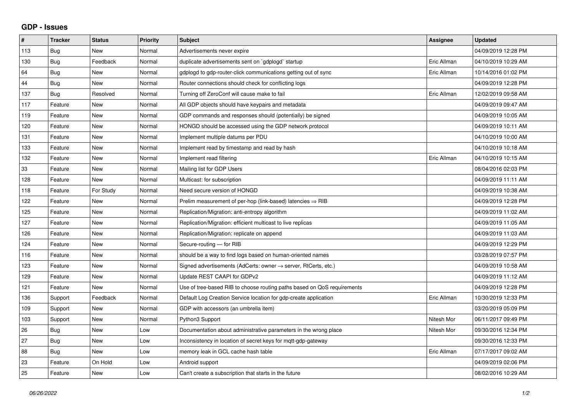## **GDP - Issues**

| #   | <b>Tracker</b> | <b>Status</b> | Priority | <b>Subject</b>                                                             | Assignee    | <b>Updated</b>      |
|-----|----------------|---------------|----------|----------------------------------------------------------------------------|-------------|---------------------|
| 113 | Bug            | <b>New</b>    | Normal   | Advertisements never expire                                                |             | 04/09/2019 12:28 PM |
| 130 | Bug            | Feedback      | Normal   | duplicate advertisements sent on `gdplogd` startup                         | Eric Allman | 04/10/2019 10:29 AM |
| 64  | <b>Bug</b>     | <b>New</b>    | Normal   | gdplogd to gdp-router-click communications getting out of sync             | Eric Allman | 10/14/2016 01:02 PM |
| 44  | <b>Bug</b>     | New           | Normal   | Router connections should check for conflicting logs                       |             | 04/09/2019 12:28 PM |
| 137 | <b>Bug</b>     | Resolved      | Normal   | Turning off ZeroConf will cause make to fail                               | Eric Allman | 12/02/2019 09:58 AM |
| 117 | Feature        | <b>New</b>    | Normal   | All GDP objects should have keypairs and metadata                          |             | 04/09/2019 09:47 AM |
| 119 | Feature        | New           | Normal   | GDP commands and responses should (potentially) be signed                  |             | 04/09/2019 10:05 AM |
| 120 | Feature        | <b>New</b>    | Normal   | HONGD should be accessed using the GDP network protocol                    |             | 04/09/2019 10:11 AM |
| 131 | Feature        | <b>New</b>    | Normal   | Implement multiple datums per PDU                                          |             | 04/10/2019 10:00 AM |
| 133 | Feature        | <b>New</b>    | Normal   | Implement read by timestamp and read by hash                               |             | 04/10/2019 10:18 AM |
| 132 | Feature        | <b>New</b>    | Normal   | Implement read filtering                                                   | Eric Allman | 04/10/2019 10:15 AM |
| 33  | Feature        | New           | Normal   | Mailing list for GDP Users                                                 |             | 08/04/2016 02:03 PM |
| 128 | Feature        | New           | Normal   | Multicast: for subscription                                                |             | 04/09/2019 11:11 AM |
| 118 | Feature        | For Study     | Normal   | Need secure version of HONGD                                               |             | 04/09/2019 10:38 AM |
| 122 | Feature        | New           | Normal   | Prelim measurement of per-hop (link-based) latencies $\Rightarrow$ RIB     |             | 04/09/2019 12:28 PM |
| 125 | Feature        | <b>New</b>    | Normal   | Replication/Migration: anti-entropy algorithm                              |             | 04/09/2019 11:02 AM |
| 127 | Feature        | New           | Normal   | Replication/Migration: efficient multicast to live replicas                |             | 04/09/2019 11:05 AM |
| 126 | Feature        | New           | Normal   | Replication/Migration: replicate on append                                 |             | 04/09/2019 11:03 AM |
| 124 | Feature        | <b>New</b>    | Normal   | Secure-routing - for RIB                                                   |             | 04/09/2019 12:29 PM |
| 116 | Feature        | <b>New</b>    | Normal   | should be a way to find logs based on human-oriented names                 |             | 03/28/2019 07:57 PM |
| 123 | Feature        | <b>New</b>    | Normal   | Signed advertisements (AdCerts: owner $\rightarrow$ server, RtCerts, etc.) |             | 04/09/2019 10:58 AM |
| 129 | Feature        | <b>New</b>    | Normal   | Update REST CAAPI for GDPv2                                                |             | 04/09/2019 11:12 AM |
| 121 | Feature        | New           | Normal   | Use of tree-based RIB to choose routing paths based on QoS requirements    |             | 04/09/2019 12:28 PM |
| 136 | Support        | Feedback      | Normal   | Default Log Creation Service location for gdp-create application           | Eric Allman | 10/30/2019 12:33 PM |
| 109 | Support        | <b>New</b>    | Normal   | GDP with accessors (an umbrella item)                                      |             | 03/20/2019 05:09 PM |
| 103 | Support        | <b>New</b>    | Normal   | Python3 Support                                                            | Nitesh Mor  | 06/11/2017 09:49 PM |
| 26  | Bug            | New           | Low      | Documentation about administrative parameters in the wrong place           | Nitesh Mor  | 09/30/2016 12:34 PM |
| 27  | Bug            | New           | Low      | Inconsistency in location of secret keys for mqtt-gdp-gateway              |             | 09/30/2016 12:33 PM |
| 88  | Bug            | <b>New</b>    | Low      | memory leak in GCL cache hash table                                        | Eric Allman | 07/17/2017 09:02 AM |
| 23  | Feature        | On Hold       | Low      | Android support                                                            |             | 04/09/2019 02:06 PM |
| 25  | Feature        | New           | Low      | Can't create a subscription that starts in the future                      |             | 08/02/2016 10:29 AM |